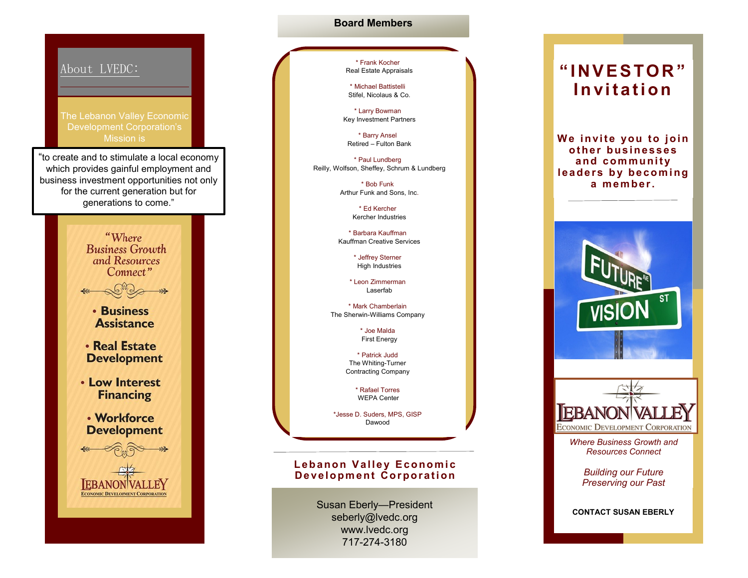

## **Board Members**

\* Frank Kocher Real Estate Appraisals

\* Michael Battistelli Stifel, Nicolaus & Co.

\* Larry Bowman Key Investment Partners

\* Barry Ansel Retired – Fulton Bank

\* Paul Lundberg Reilly, Wolfson, Sheffey, Schrum & Lundberg

> \* Bob Funk Arthur Funk and Sons, Inc.

> > \* Ed Kercher Kercher Industries

\* Barbara Kauffman Kauffman Creative Services

> \* Jeffrey Sterner High Industries

\* Leon Zimmerman Laserfab

\* Mark Chamberlain The Sherwin-Williams Company

> \* Joe Malda First Energy

\* Patrick Judd The Whiting-Turner Contracting Company

> \* Rafael Torres WEPA Center

\*Jesse D. Suders, MPS, GISP Dawood

## **Lebanon Valley Economic Development Corporation**

Susan Eberly—President seberly@lvedc.org www.lvedc.org 717-274-3180

# **" I NV E S TO R " I n vi t a t i o n**

**We invite you to join ot he r bus i ne s s e s**  and community **l e a d e r s b y b e c o m i n g a m e m be r .**



**CONTACT SUSAN EBERLY**